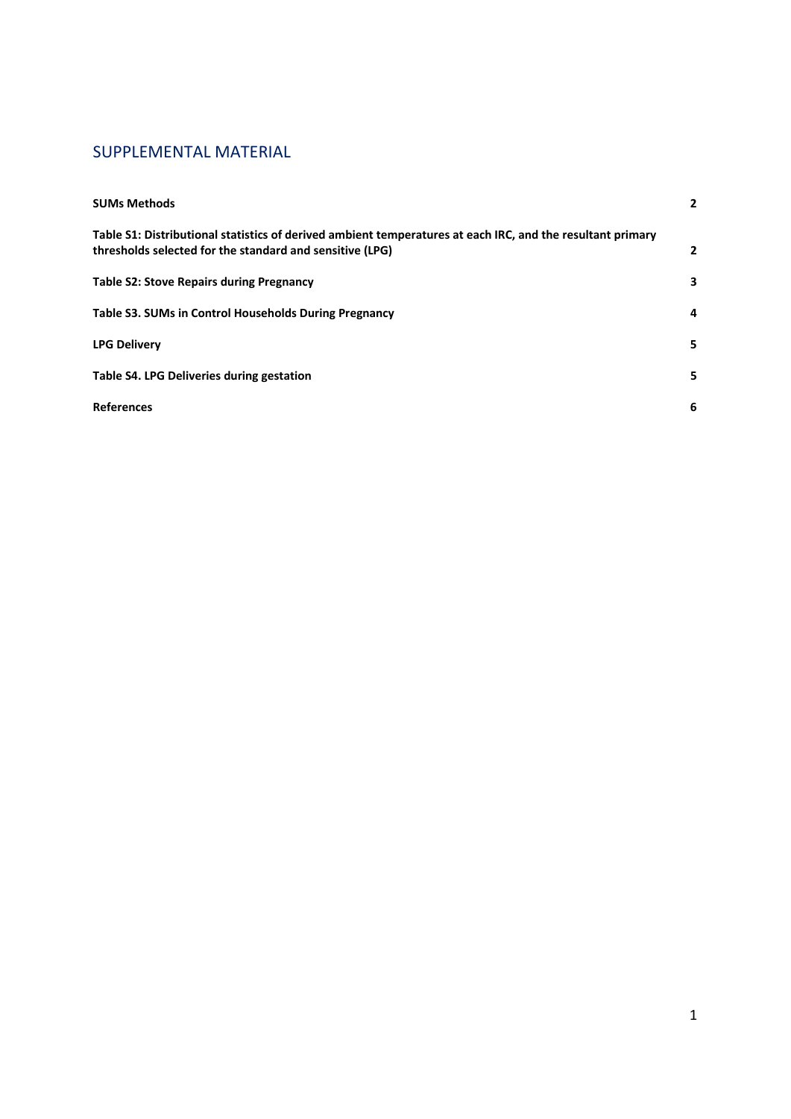# SUPPLEMENTAL MATERIAL

| <b>SUMs Methods</b>                                                                                                                                                    | $\mathbf{2}$   |
|------------------------------------------------------------------------------------------------------------------------------------------------------------------------|----------------|
| Table S1: Distributional statistics of derived ambient temperatures at each IRC, and the resultant primary<br>thresholds selected for the standard and sensitive (LPG) | $\overline{2}$ |
| <b>Table S2: Stove Repairs during Pregnancy</b>                                                                                                                        | 3              |
| Table S3. SUMs in Control Households During Pregnancy                                                                                                                  | 4              |
| <b>LPG Delivery</b>                                                                                                                                                    | 5              |
| Table S4. LPG Deliveries during gestation                                                                                                                              | 5              |
| <b>References</b>                                                                                                                                                      | 6              |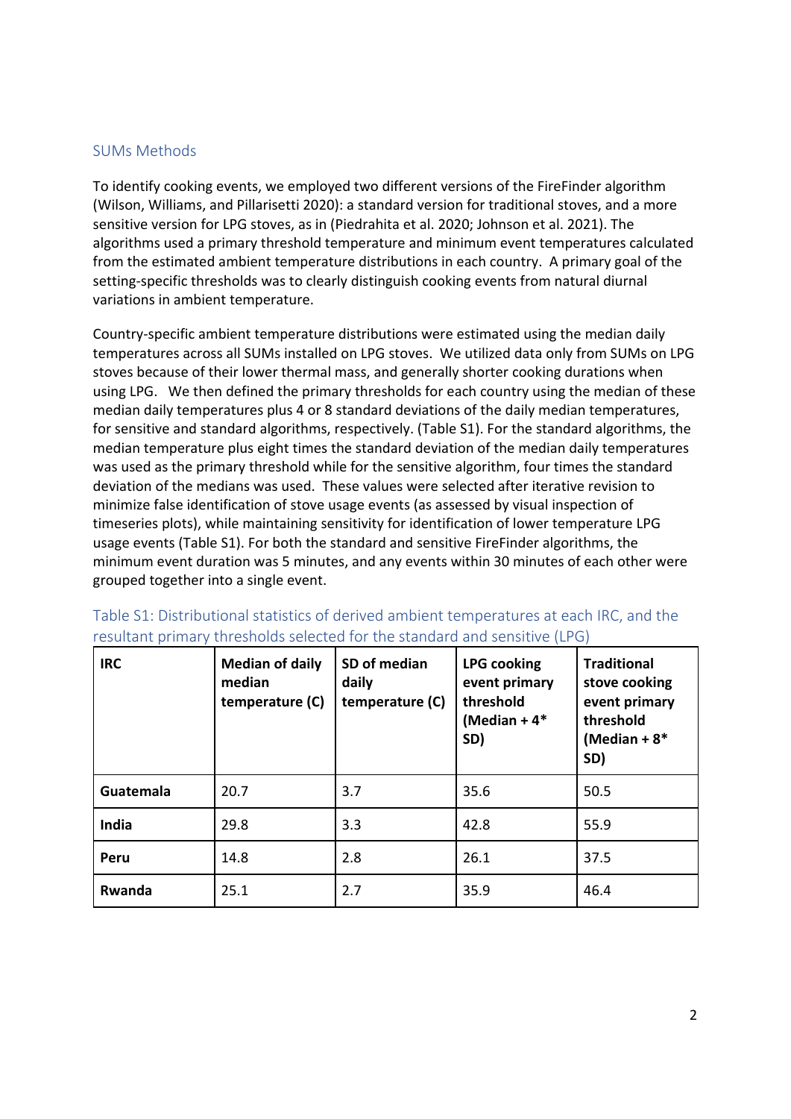#### SUMs Methods

To identify cooking events, we employed two different versions of the FireFinder algorithm (Wilson, Williams, and Pillarisetti 2020): a standard version for traditional stoves, and a more sensitive version for LPG stoves, as in (Piedrahita et al. 2020; Johnson et al. 2021). The algorithms used a primary threshold temperature and minimum event temperatures calculated from the estimated ambient temperature distributions in each country. A primary goal of the setting-specific thresholds was to clearly distinguish cooking events from natural diurnal variations in ambient temperature.

Country-specific ambient temperature distributions were estimated using the median daily temperatures across all SUMs installed on LPG stoves. We utilized data only from SUMs on LPG stoves because of their lower thermal mass, and generally shorter cooking durations when using LPG. We then defined the primary thresholds for each country using the median of these median daily temperatures plus 4 or 8 standard deviations of the daily median temperatures, for sensitive and standard algorithms, respectively. (Table S1). For the standard algorithms, the median temperature plus eight times the standard deviation of the median daily temperatures was used as the primary threshold while for the sensitive algorithm, four times the standard deviation of the medians was used. These values were selected after iterative revision to minimize false identification of stove usage events (as assessed by visual inspection of timeseries plots), while maintaining sensitivity for identification of lower temperature LPG usage events (Table S1). For both the standard and sensitive FireFinder algorithms, the minimum event duration was 5 minutes, and any events within 30 minutes of each other were grouped together into a single event.

| <b>IRC</b> | <b>Median of daily</b><br>median<br>temperature (C) | SD of median<br>daily<br>temperature (C) | <b>LPG cooking</b><br>event primary<br>threshold<br>(Median + $4*$<br>SD) | <b>Traditional</b><br>stove cooking<br>event primary<br>threshold<br>(Median + $8*$<br>SD) |
|------------|-----------------------------------------------------|------------------------------------------|---------------------------------------------------------------------------|--------------------------------------------------------------------------------------------|
| Guatemala  | 20.7                                                | 3.7                                      | 35.6                                                                      | 50.5                                                                                       |
| India      | 29.8                                                | 3.3                                      | 42.8                                                                      | 55.9                                                                                       |
| Peru       | 14.8                                                | 2.8                                      | 26.1                                                                      | 37.5                                                                                       |
| Rwanda     | 25.1                                                | 2.7                                      | 35.9                                                                      | 46.4                                                                                       |

Table S1: Distributional statistics of derived ambient temperatures at each IRC, and the resultant primary thresholds selected for the standard and sensitive (LPG)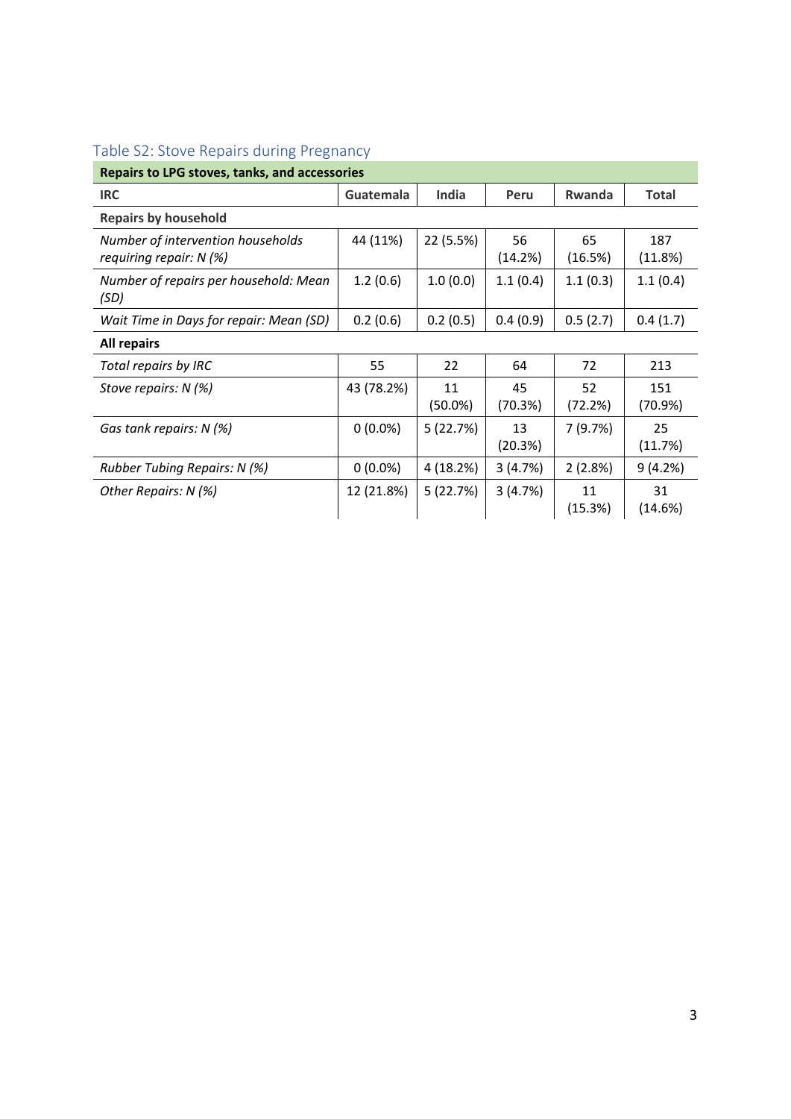| <b>Repairs to LPG stoves, tanks, and accessories</b>           |            |                  |               |               |                |  |
|----------------------------------------------------------------|------------|------------------|---------------|---------------|----------------|--|
| <b>IRC</b>                                                     | Guatemala  | <b>India</b>     | Peru          | <b>Rwanda</b> | <b>Total</b>   |  |
| <b>Repairs by household</b>                                    |            |                  |               |               |                |  |
| Number of intervention households<br>requiring repair: $N$ (%) | 44 (11%)   | 22 (5.5%)        | 56<br>(14.2%) | 65<br>(16.5%) | 187<br>(11.8%) |  |
| Number of repairs per household: Mean<br>(SD)                  | 1.2(0.6)   | 1.0(0.0)         | 1.1(0.4)      | 1.1(0.3)      | 1.1(0.4)       |  |
| Wait Time in Days for repair: Mean (SD)                        | 0.2(0.6)   | 0.2(0.5)         | 0.4(0.9)      | 0.5(2.7)      | 0.4(1.7)       |  |
| All repairs                                                    |            |                  |               |               |                |  |
| Total repairs by IRC                                           | 55         | 22               | 64            | 72            | 213            |  |
| Stove repairs: N (%)                                           | 43 (78.2%) | 11<br>$(50.0\%)$ | 45<br>(70.3%) | 52<br>(72.2%) | 151<br>(70.9%) |  |
| Gas tank repairs: N (%)                                        | $0(0.0\%)$ | 5(22.7%)         | 13<br>(20.3%) | 7(9.7%)       | 25<br>(11.7%)  |  |
| Rubber Tubing Repairs: N (%)                                   | $0(0.0\%)$ | 4 (18.2%)        | 3(4.7%)       | 2(2.8%)       | 9(4.2%)        |  |
| Other Repairs: N (%)                                           | 12 (21.8%) | 5(22.7%)         | 3(4.7%)       | 11<br>(15.3%) | 31<br>(14.6%)  |  |

# Table S2: Stove Repairs during Pregnancy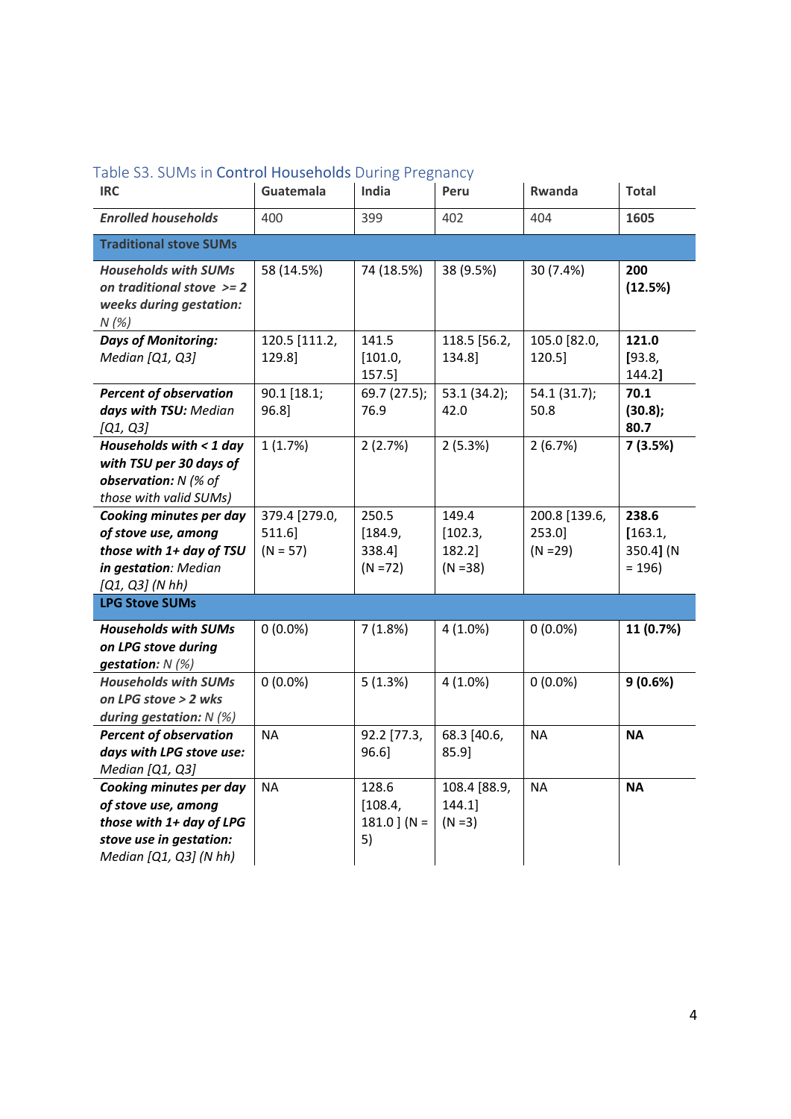| rabic 55. Solvis in <b>Control Housenolus</b> During Freguancy                                                                  |                                          |                                          |                                          |                                          |                                          |
|---------------------------------------------------------------------------------------------------------------------------------|------------------------------------------|------------------------------------------|------------------------------------------|------------------------------------------|------------------------------------------|
| <b>IRC</b>                                                                                                                      | Guatemala                                | India                                    | Peru                                     | Rwanda                                   | <b>Total</b>                             |
| <b>Enrolled households</b>                                                                                                      | 400                                      | 399                                      | 402                                      | 404                                      | 1605                                     |
| <b>Traditional stove SUMs</b>                                                                                                   |                                          |                                          |                                          |                                          |                                          |
| <b>Households with SUMs</b><br>on traditional stove $>= 2$<br>weeks during gestation:<br>N(%)                                   | 58 (14.5%)                               | 74 (18.5%)                               | 38 (9.5%)                                | 30 (7.4%)                                | 200<br>(12.5%)                           |
| <b>Days of Monitoring:</b><br>Median [Q1, Q3]                                                                                   | 120.5 [111.2,<br>129.8]                  | 141.5<br>[101.0,<br>157.5]               | 118.5 [56.2,<br>134.8]                   | 105.0 [82.0,<br>120.5]                   | 121.0<br>[93.8,<br>144.2]                |
| <b>Percent of observation</b><br>days with TSU: Median<br>[Q1, Q3]                                                              | 90.1 [18.1;<br>96.8]                     | 69.7 (27.5);<br>76.9                     | 53.1 (34.2);<br>42.0                     | 54.1 (31.7);<br>50.8                     | 70.1<br>(30.8);<br>80.7                  |
| Households with $<$ 1 day<br>with TSU per 30 days of<br>observation: N (% of<br>those with valid SUMs)                          | 1(1.7%)                                  | 2(2.7%)                                  | 2(5.3%)                                  | 2(6.7%)                                  | 7(3.5%)                                  |
| Cooking minutes per day<br>of stove use, among<br>those with 1+ day of TSU<br>in gestation: Median<br>$[Q1, Q3]$ (N hh)         | 379.4 [279.0,<br>$511.6$ ]<br>$(N = 57)$ | 250.5<br>[184.9,<br>338.4]<br>$(N = 72)$ | 149.4<br>[102.3,<br>182.2]<br>$(N = 38)$ | 200.8 [139.6,<br>$253.0$ ]<br>$(N = 29)$ | 238.6<br>[163.1,<br>350.4] (N<br>$= 196$ |
| <b>LPG Stove SUMs</b>                                                                                                           |                                          |                                          |                                          |                                          |                                          |
| <b>Households with SUMs</b><br>on LPG stove during<br>gestation: $N$ (%)                                                        | $0(0.0\%)$                               | 7(1.8%)                                  | $4(1.0\%)$                               | $0(0.0\%)$                               | 11 (0.7%)                                |
| <b>Households with SUMs</b><br>on LPG stove > 2 wks<br>during gestation: $N$ (%)                                                | $0(0.0\%)$                               | 5(1.3%)                                  | $4(1.0\%)$                               | $0(0.0\%)$                               | 9(0.6%)                                  |
| <b>Percent of observation</b><br>days with LPG stove use:<br>Median [Q1, Q3]                                                    | <b>NA</b>                                | 92.2 [77.3,<br>96.6]                     | 68.3 [40.6,<br>85.9]                     | <b>NA</b>                                | <b>NA</b>                                |
| Cooking minutes per day<br>of stove use, among<br>those with 1+ day of LPG<br>stove use in gestation:<br>Median [Q1, Q3] (N hh) | <b>NA</b>                                | 128.6<br>[108.4,<br>181.0 $)(N =$<br>5)  | 108.4 [88.9,<br>144.1<br>$(N = 3)$       | <b>NA</b>                                | <b>NA</b>                                |

# Table S3. SUMs in Control Households During Pregnancy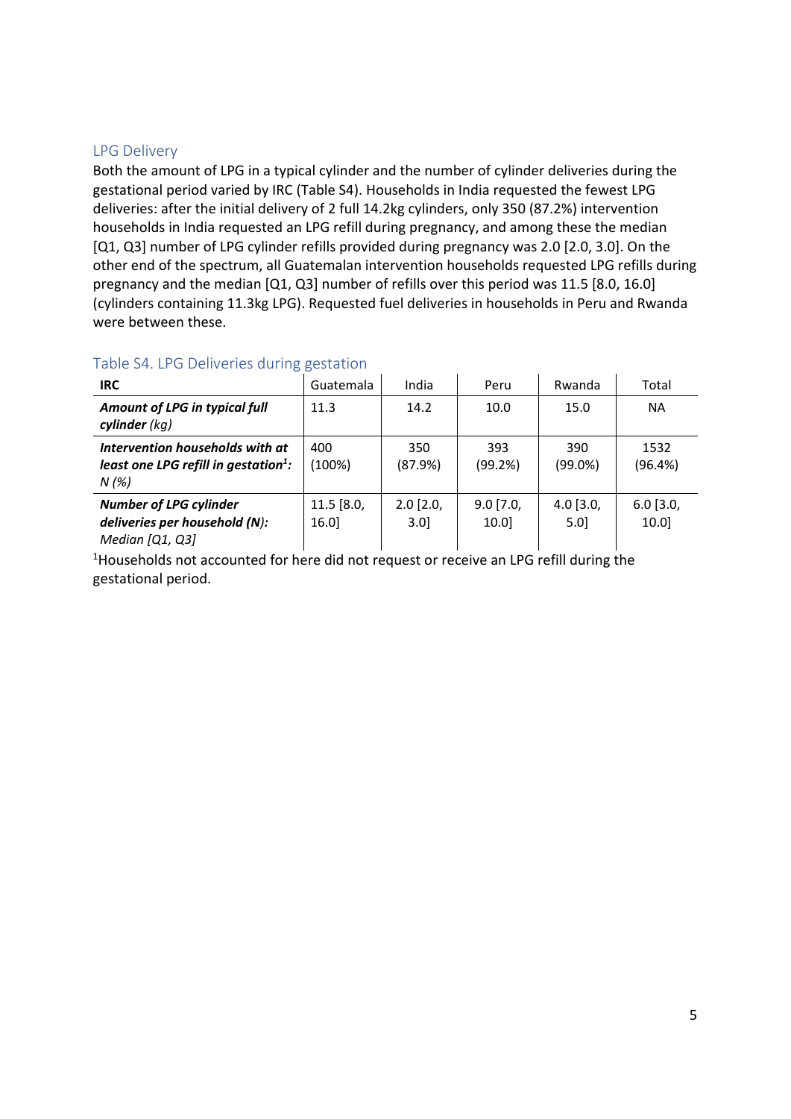### LPG Delivery

Both the amount of LPG in a typical cylinder and the number of cylinder deliveries during the gestational period varied by IRC (Table S4). Households in India requested the fewest LPG deliveries: after the initial delivery of 2 full 14.2kg cylinders, only 350 (87.2%) intervention households in India requested an LPG refill during pregnancy, and among these the median [Q1, Q3] number of LPG cylinder refills provided during pregnancy was 2.0 [2.0, 3.0]. On the other end of the spectrum, all Guatemalan intervention households requested LPG refills during pregnancy and the median [Q1, Q3] number of refills over this period was 11.5 [8.0, 16.0] (cylinders containing 11.3kg LPG). Requested fuel deliveries in households in Peru and Rwanda were between these.

## Table S4. LPG Deliveries during gestation

| <b>IRC</b>                                                                                  | Guatemala          | India              | Peru                | Rwanda                 | Total               |
|---------------------------------------------------------------------------------------------|--------------------|--------------------|---------------------|------------------------|---------------------|
| Amount of LPG in typical full<br>cylinder $(kq)$                                            | 11.3               | 14.2               | 10.0                | 15.0                   | <b>NA</b>           |
| Intervention households with at<br>least one LPG refill in gestation <sup>1</sup> :<br>N(%) | 400<br>(100%)      | 350<br>(87.9%)     | 393<br>(99.2%)      | 390<br>$(99.0\%)$      | 1532<br>(96.4%)     |
| <b>Number of LPG cylinder</b><br>deliveries per household (N):<br>Median [Q1, Q3]           | 11.5 [8.0,<br>16.0 | $2.0$ [2.0,<br>3.0 | $9.0$ [7.0,<br>10.0 | $4.0$ [3.0,<br>$5.0$ ] | $6.0$ [3.0,<br>10.0 |

<sup>1</sup>Households not accounted for here did not request or receive an LPG refill during the gestational period.